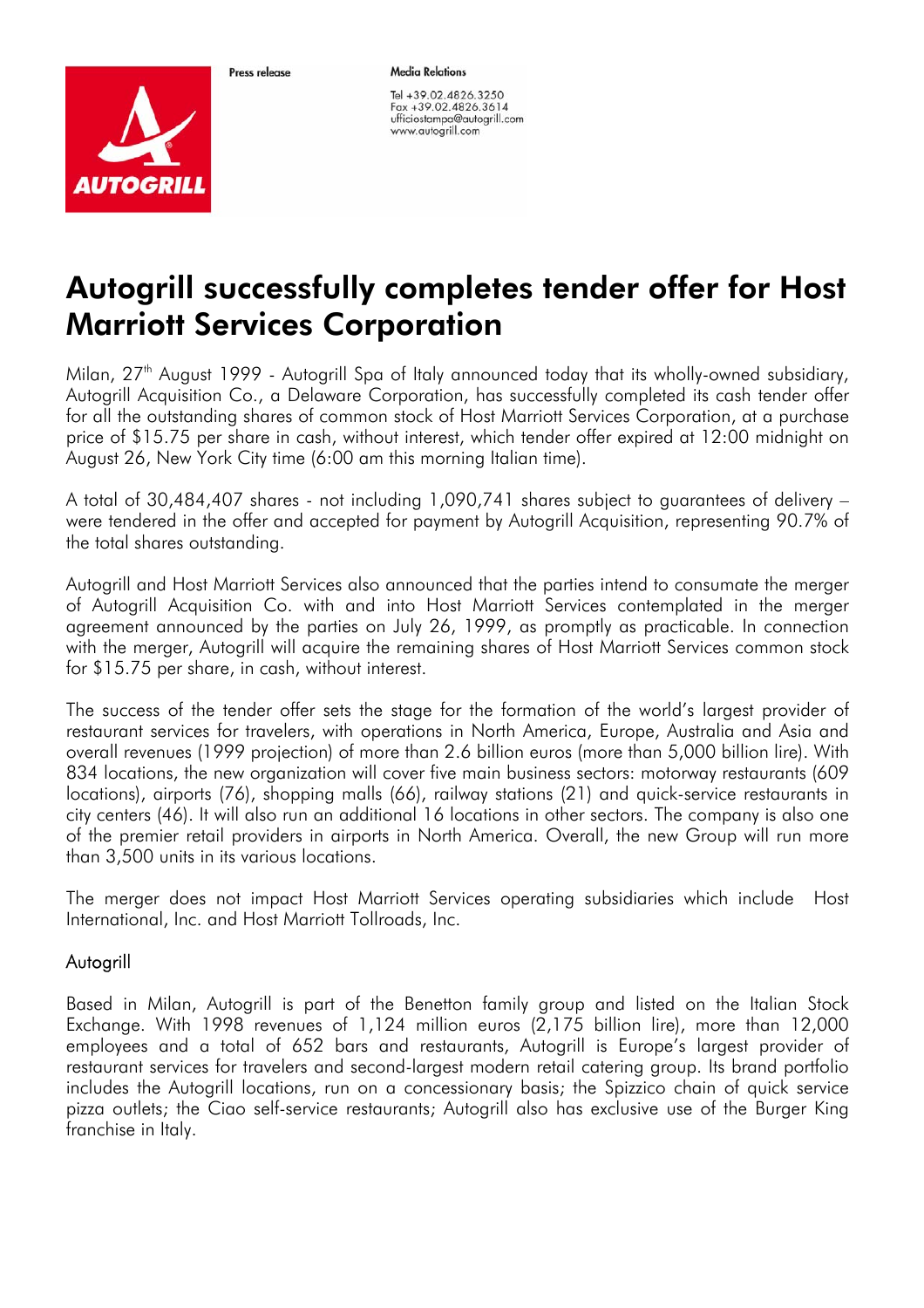

*AUTOGRILI* 

**Media Relations** 

Tel +39.02.4826.3250 Fax +39.02.4826.3614 ufficiostampa@autogrill.com www.autogrill.com

## Autogrill successfully completes tender offer for Host Marriott Services Corporation

Milan, 27<sup>th</sup> August 1999 - Autogrill Spa of Italy announced today that its wholly-owned subsidiary, Autogrill Acquisition Co., a Delaware Corporation, has successfully completed its cash tender offer for all the outstanding shares of common stock of Host Marriott Services Corporation, at a purchase price of \$15.75 per share in cash, without interest, which tender offer expired at 12:00 midnight on August 26, New York City time (6:00 am this morning Italian time).

A total of 30,484,407 shares - not including 1,090,741 shares subject to guarantees of delivery – were tendered in the offer and accepted for payment by Autogrill Acquisition, representing 90.7% of the total shares outstanding.

Autogrill and Host Marriott Services also announced that the parties intend to consumate the merger of Autogrill Acquisition Co. with and into Host Marriott Services contemplated in the merger agreement announced by the parties on July 26, 1999, as promptly as practicable. In connection with the merger, Autogrill will acquire the remaining shares of Host Marriott Services common stock for \$15.75 per share, in cash, without interest.

The success of the tender offer sets the stage for the formation of the world's largest provider of restaurant services for travelers, with operations in North America, Europe, Australia and Asia and overall revenues (1999 projection) of more than 2.6 billion euros (more than 5,000 billion lire). With 834 locations, the new organization will cover five main business sectors: motorway restaurants (609 locations), airports (76), shopping malls (66), railway stations (21) and quick-service restaurants in city centers (46). It will also run an additional 16 locations in other sectors. The company is also one of the premier retail providers in airports in North America. Overall, the new Group will run more than 3,500 units in its various locations.

The merger does not impact Host Marriott Services operating subsidiaries which include Host International, Inc. and Host Marriott Tollroads, Inc.

## **Autogrill**

Based in Milan, Autogrill is part of the Benetton family group and listed on the Italian Stock Exchange. With 1998 revenues of 1,124 million euros (2,175 billion lire), more than 12,000 employees and a total of 652 bars and restaurants, Autogrill is Europe's largest provider of restaurant services for travelers and second-largest modern retail catering group. Its brand portfolio includes the Autogrill locations, run on a concessionary basis; the Spizzico chain of quick service pizza outlets; the Ciao self-service restaurants; Autogrill also has exclusive use of the Burger King franchise in Italy.